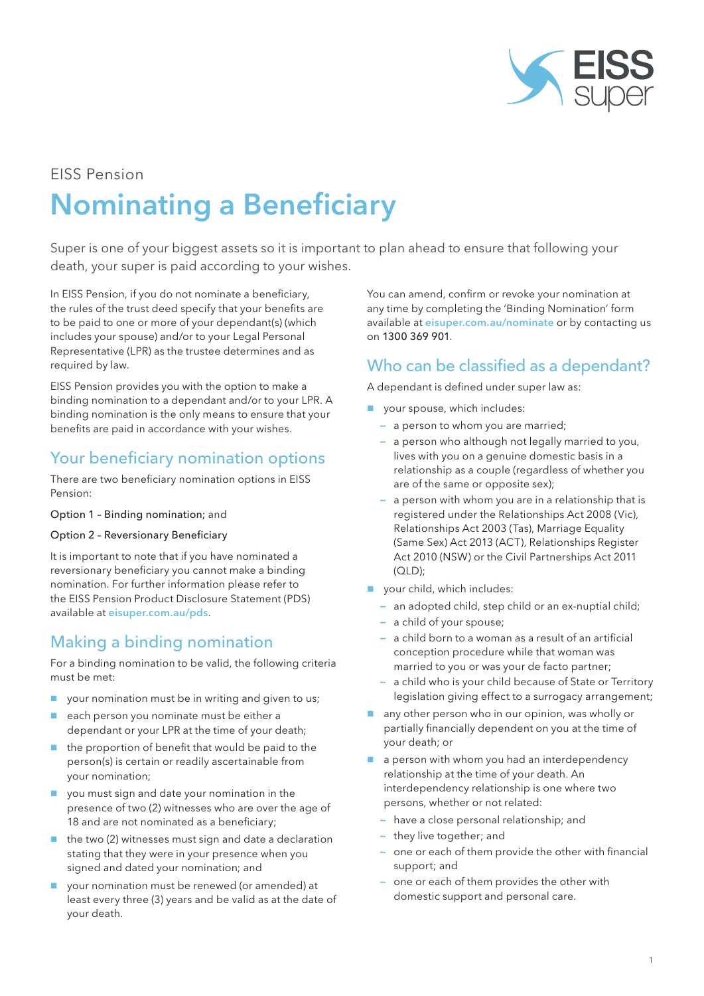

# EISS Pension Nominating a Beneficiary

Super is one of your biggest assets so it is important to plan ahead to ensure that following your death, your super is paid according to your wishes.

In EISS Pension, if you do not nominate a beneficiary, the rules of the trust deed specify that your benefits are to be paid to one or more of your dependant(s) (which includes your spouse) and/or to your Legal Personal Representative (LPR) as the trustee determines and as required by law.

EISS Pension provides you with the option to make a binding nomination to a dependant and/or to your LPR. A binding nomination is the only means to ensure that your benefits are paid in accordance with your wishes.

## Your beneficiary nomination options

There are two beneficiary nomination options in EISS Pension:

Option 1 – Binding nomination; and

#### Option 2 – Reversionary Beneficiary

It is important to note that if you have nominated a reversionary beneficiary you cannot make a binding nomination. For further information please refer to the EISS Pension Product Disclosure Statement (PDS) available at eisuper.com.au/pds.

## Making a binding nomination

For a binding nomination to be valid, the following criteria must be met:

- **p** your nomination must be in writing and given to us;
- each person you nominate must be either a dependant or your LPR at the time of your death;
- the proportion of benefit that would be paid to the person(s) is certain or readily ascertainable from your nomination;
- you must sign and date your nomination in the presence of two (2) witnesses who are over the age of 18 and are not nominated as a beneficiary;
- the two (2) witnesses must sign and date a declaration stating that they were in your presence when you signed and dated your nomination; and
- your nomination must be renewed (or amended) at least every three (3) years and be valid as at the date of your death.

You can amend, confirm or revoke your nomination at any time by completing the 'Binding Nomination' form available at eisuper.com.au/nominate or by contacting us on 1300 369 901.

### Who can be classified as a dependant?

A dependant is defined under super law as:

- vour spouse, which includes:
	- a person to whom you are married;
	- a person who although not legally married to you, lives with you on a genuine domestic basis in a relationship as a couple (regardless of whether you are of the same or opposite sex);
	- a person with whom you are in a relationship that is registered under the Relationships Act 2008 (Vic), Relationships Act 2003 (Tas), Marriage Equality (Same Sex) Act 2013 (ACT), Relationships Register Act 2010 (NSW) or the Civil Partnerships Act 2011 (QLD);
- vour child, which includes:
	- an adopted child, step child or an ex-nuptial child;
	- a child of your spouse;
	- a child born to a woman as a result of an artificial conception procedure while that woman was married to you or was your de facto partner;
	- a child who is your child because of State or Territory legislation giving effect to a surrogacy arrangement;
- $\Box$  any other person who in our opinion, was wholly or partially financially dependent on you at the time of your death; or
- a person with whom you had an interdependency relationship at the time of your death. An interdependency relationship is one where two persons, whether or not related:
	- have a close personal relationship; and
	- they live together; and
	- one or each of them provide the other with financial support; and
	- one or each of them provides the other with domestic support and personal care.